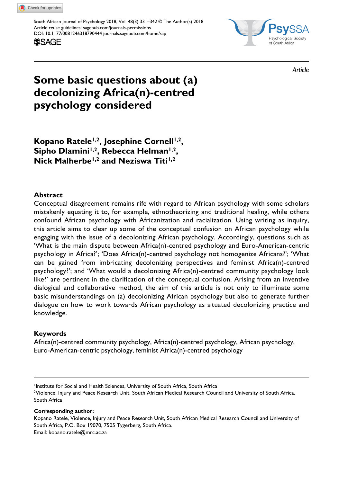DOI: 10.1177/0081246318790444 [journals.sagepub.com/home/sap](https://journals.sagepub.com/home/sap) South African Journal of Psychology 2018, Vol. 48(3) 331–342 © The Author(s) 2018 [Article reuse guidelines: sagepub.com/journals-permissions](https://uk.sagepub.com/en-gb/journals-permissions)

**SSAGE** 



*Article*

# **Some basic questions about (a) decolonizing Africa(n)-centred psychology considered**

Kopano Ratele<sup>1,2</sup>, Josephine Cornell<sup>1,2</sup>, Sipho Dlamini<sup>1,2</sup>, Rebecca Helman<sup>1,2</sup>, **Nick Malherbe<sup>1,2</sup> and Neziswa Titi<sup>1,2</sup>** 

#### **Abstract**

Conceptual disagreement remains rife with regard to African psychology with some scholars mistakenly equating it to, for example, ethnotheorizing and traditional healing, while others confound African psychology with Africanization and racialization. Using writing as inquiry, this article aims to clear up some of the conceptual confusion on African psychology while engaging with the issue of a decolonizing African psychology. Accordingly, questions such as 'What is the main dispute between Africa(n)-centred psychology and Euro-American-centric psychology in Africa?'; 'Does Africa(n)-centred psychology not homogenize Africans?'; 'What can be gained from imbricating decolonizing perspectives and feminist Africa(n)-centred psychology?'; and 'What would a decolonizing Africa(n)-centred community psychology look like?' are pertinent in the clarification of the conceptual confusion. Arising from an inventive dialogical and collaborative method, the aim of this article is not only to illuminate some basic misunderstandings on (a) decolonizing African psychology but also to generate further dialogue on how to work towards African psychology as situated decolonizing practice and knowledge.

#### **Keywords**

Africa(n)-centred community psychology, Africa(n)-centred psychology, African psychology, Euro-American-centric psychology, feminist Africa(n)-centred psychology

<sup>1</sup>Institute for Social and Health Sciences, University of South Africa, South Africa 2Violence, Injury and Peace Research Unit, South African Medical Research Council and University of South Africa, South Africa

#### **Corresponding author:**

Kopano Ratele, Violence, Injury and Peace Research Unit, South African Medical Research Council and University of South Africa, P.O. Box 19070, 7505 Tygerberg, South Africa. Email: [kopano.ratele@mrc.ac.za](mailto:kopano.ratele@mrc.ac.za)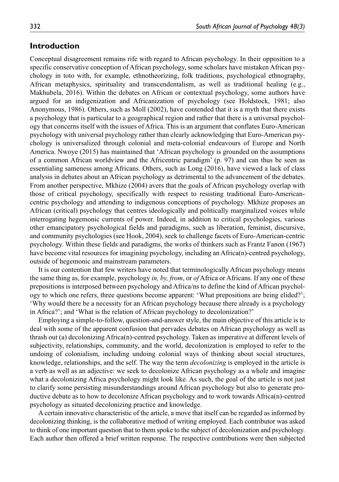### **Introduction**

Conceptual disagreement remains rife with regard to African psychology. In their opposition to a specific conservative conception of African psychology, some scholars have mistaken African psychology in toto with, for example, ethnotheorizing, folk traditions, psychological ethnography, African metaphysics, spirituality and transcendentalism, as well as traditional healing (e.g., Makhubela, 2016). Within the debates on African or contextual psychology, some authors have argued for an indigenization and Africanization of psychology (see Holdstock, 1981; also Anonymous, 1986). Others, such as Moll (2002), have contended that it is a myth that there exists a psychology that is particular to a geographical region and rather that there is a universal psychology that concerns itself with the issues of Africa. This is an argument that conflates Euro-American psychology with universal psychology rather than clearly acknowledging that Euro-American psychology is universalized through colonial and meta-colonial endeavours of Europe and North America. Nwoye (2015) has maintained that 'African psychology is grounded on the assumptions of a common African worldview and the Africentric paradigm' (p. 97) and can thus be seen as essentialing sameness among Africans. Others, such as Long (2016), have viewed a lack of class analysis in debates about an African psychology as detrimental to the advancement of the debates. From another perspective, Mkhize (2004) avers that the goals of African psychology overlap with those of critical psychology, specifically with respect to resisting traditional Euro-Americancentric psychology and attending to indigenous conceptions of psychology. Mkhize proposes an African (critical) psychology that centres ideologically and politically marginalized voices while interrogating hegemonic currents of power. Indeed, in addition to critical psychologies, various other emancipatory psychological fields and paradigms, such as liberation, feminist, discursive, and community psychologies (see Hook, 2004), seek to challenge facets of Euro-American-centric psychology. Within these fields and paradigms, the works of thinkers such as Frantz Fanon (1967) have become vital resources for imagining psychology, including an Africa(n)-centred psychology, outside of hegemonic and mainstream parameters.

It is our contention that few writers have noted that terminologically African psychology means the same thing as, for example, psychology *in, by, from*, or *of* Africa or Africans. If any one of these prepositions is interposed between psychology and Africa/ns to define the kind of African psychology to which one refers, three questions become apparent: 'What prepositions are being elided?'; 'Why would there be a necessity for an African psychology because there already is a psychology in Africa?'; and 'What is the relation of African psychology to decolonization?'

Employing a simple-to-follow, question-and-answer style, the main objective of this article is to deal with some of the apparent confusion that pervades debates on African psychology as well as thrash out (a) decolonizing Africa(n)-centred psychology. Taken as imperative at different levels of subjectivity, relationships, community, and the world, decolonization is employed to refer to the undoing of colonialism, including undoing colonial ways of thinking about social structures, knowledge, relationships, and the self. The way the term *decolonizing* is employed in the article is a verb as well as an adjective: we seek to decolonize African psychology as a whole and imagine what a decolonizing Africa psychology might look like. As such, the goal of the article is not just to clarify some persisting misunderstandings around African psychology but also to generate productive debate as to how to decolonize African psychology and to work towards Africa(n)-centred psychology as situated decolonizing practice and knowledge.

A certain innovative characteristic of the article, a move that itself can be regarded as informed by decolonizing thinking, is the collaborative method of writing employed. Each contributor was asked to think of one important question that to them spoke to the subject of decolonization and psychology. Each author then offered a brief written response. The respective contributions were then subjected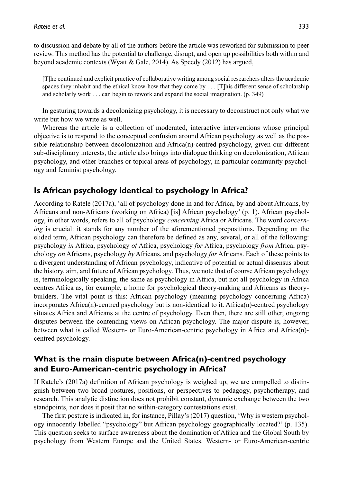to discussion and debate by all of the authors before the article was reworked for submission to peer review. This method has the potential to challenge, disrupt, and open up possibilities both within and beyond academic contexts (Wyatt & Gale, 2014). As Speedy (2012) has argued,

[T]he continued and explicit practice of collaborative writing among social researchers alters the academic spaces they inhabit and the ethical know-how that they come by . . . [T]his different sense of scholarship and scholarly work . . . can begin to rework and expand the social imagination. (p. 349)

In gesturing towards a decolonizing psychology, it is necessary to deconstruct not only what we write but how we write as well.

Whereas the article is a collection of moderated, interactive interventions whose principal objective is to respond to the conceptual confusion around African psychology as well as the possible relationship between decolonization and Africa(n)-centred psychology, given our different sub-disciplinary interests, the article also brings into dialogue thinking on decolonization, African psychology, and other branches or topical areas of psychology, in particular community psychology and feminist psychology.

# **Is African psychology identical to psychology in Africa?**

According to Ratele (2017a), 'all of psychology done in and for Africa, by and about Africans, by Africans and non-Africans (working on Africa) [is] African psychology' (p. 1). African psychology, in other words, refers to all of psychology *concerning* Africa or Africans. The word *concerning* is crucial: it stands for any number of the aforementioned prepositions. Depending on the elided term, African psychology can therefore be defined as any, several, or all of the following: psychology *in* Africa, psychology *of* Africa, psychology *for* Africa, psychology *from* Africa, psychology *on* Africans, psychology *by* Africans, and psychology *for* Africans. Each of these points to a divergent understanding of African psychology, indicative of potential or actual dissensus about the history, aim, and future of African psychology. Thus, we note that of course African psychology is, terminologically speaking, the same as psychology in Africa, but not all psychology in Africa centres Africa as, for example, a home for psychological theory-making and Africans as theorybuilders. The vital point is this: African psychology (meaning psychology concerning Africa) incorporates Africa(n)-centred psychology but is non-identical to it. Africa(n)-centred psychology situates Africa and Africans at the centre of psychology. Even then, there are still other, ongoing disputes between the contending views on African psychology. The major dispute is, however, between what is called Western- or Euro-American-centric psychology in Africa and Africa(n) centred psychology.

# **What is the main dispute between Africa(n)-centred psychology and Euro-American-centric psychology in Africa?**

If Ratele's (2017a) definition of African psychology is weighed up, we are compelled to distinguish between two broad postures, positions, or perspectives to pedagogy, psychotherapy, and research. This analytic distinction does not prohibit constant, dynamic exchange between the two standpoints, nor does it posit that no within-category contestations exist.

The first posture is indicated in, for instance, Pillay's (2017) question, 'Why is western psychology innocently labelled "psychology" but African psychology geographically located?' (p. 135). This question seeks to surface awareness about the domination of Africa and the Global South by psychology from Western Europe and the United States. Western- or Euro-American-centric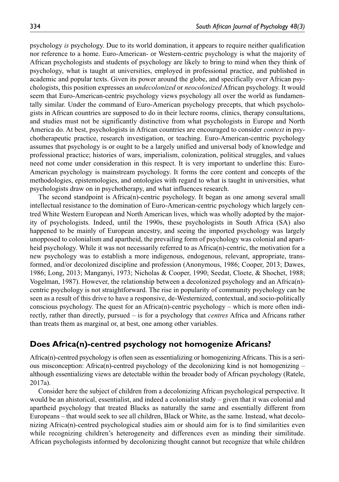psychology *is* psychology. Due to its world domination, it appears to require neither qualification nor reference to a home. Euro-American- or Western-centric psychology is what the majority of African psychologists and students of psychology are likely to bring to mind when they think of psychology, what is taught at universities, employed in professional practice, and published in academic and popular texts. Given its power around the globe, and specifically over African psychologists, this position expresses an *undecolonized* or *neocolonized* African psychology. It would seem that Euro-American-centric psychology views psychology all over the world as fundamentally similar. Under the command of Euro-American psychology precepts, that which psychologists in African countries are supposed to do in their lecture rooms, clinics, therapy consultations, and studies must not be significantly distinctive from what psychologists in Europe and North America do. At best, psychologists in African countries are encouraged to consider *context* in psychotherapeutic practice, research investigation, or teaching. Euro-American-centric psychology assumes that psychology is or ought to be a largely unified and universal body of knowledge and professional practice; histories of wars, imperialism, colonization, political struggles, and values need not come under consideration in this respect. It is very important to underline this: Euro-American psychology is mainstream psychology. It forms the core content and concepts of the methodologies, epistemologies, and ontologies with regard to what is taught in universities, what psychologists draw on in psychotherapy, and what influences research.

The second standpoint is Africa(n)-centric psychology. It began as one among several small intellectual resistance to the domination of Euro-American-centric psychology which largely centred White Western European and North American lives, which was wholly adopted by the majority of psychologists. Indeed, until the 1990s, these psychologists in South Africa (SA) also happened to be mainly of European ancestry, and seeing the imported psychology was largely unopposed to colonialism and apartheid, the prevailing form of psychology was colonial and apartheid psychology. While it was not necessarily referred to as Africa(n)-centric, the motivation for a new psychology was to establish a more indigenous, endogenous, relevant, appropriate, transformed, and/or decolonized discipline and profession (Anonymous, 1986; Cooper, 2013; Dawes, 1986; Long, 2013; Manganyi, 1973; Nicholas & Cooper, 1990; Seedat, Cloete, & Shochet, 1988; Vogelman, 1987). However, the relationship between a decolonized psychology and an Africa(n) centric psychology is not straightforward. The rise in popularity of community psychology can be seen as a result of this drive to have a responsive, de-Westernized, contextual, and socio-politically conscious psychology. The quest for an  $A$ frica(n)-centric psychology – which is more often indirectly, rather than directly, pursued – is for a psychology that *centres* Africa and Africans rather than treats them as marginal or, at best, one among other variables.

## **Does Africa(n)-centred psychology not homogenize Africans?**

Africa(n)-centred psychology is often seen as essentializing or homogenizing Africans. This is a serious misconception: Africa(n)-centred psychology of the decolonizing kind is not homogenizing – although essentializing views are detectable within the broader body of African psychology (Ratele, 2017a).

Consider here the subject of children from a decolonizing African psychological perspective. It would be an ahistorical, essentialist, and indeed a colonialist study – given that it was colonial and apartheid psychology that treated Blacks as naturally the same and essentially different from Europeans – that would seek to see all children, Black or White, as the same. Instead, what decolonizing Africa(n)-centred psychological studies aim or should aim for is to find similarities even while recognizing children's heterogeneity and differences even as minding their similitude. African psychologists informed by decolonizing thought cannot but recognize that while children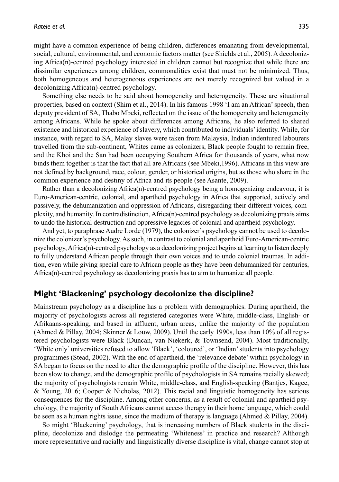might have a common experience of being children, differences emanating from developmental, social, cultural, environmental, and economic factors matter (see Shields et al., 2005). A decolonizing Africa(n)-centred psychology interested in children cannot but recognize that while there are dissimilar experiences among children, commonalities exist that must not be minimized. Thus, both homogeneous and heterogeneous experiences are not merely recognized but valued in a decolonizing Africa(n)-centred psychology.

Something else needs to be said about homogeneity and heterogeneity. These are situational properties, based on context (Shim et al., 2014). In his famous 1998 'I am an African' speech, then deputy president of SA, Thabo Mbeki, reflected on the issue of the homogeneity and heterogeneity among Africans. While he spoke about differences among Africans, he also referred to shared existence and historical experience of slavery, which contributed to individuals' identity. While, for instance, with regard to SA, Malay slaves were taken from Malaysia, Indian indentured labourers travelled from the sub-continent, Whites came as colonizers, Black people fought to remain free, and the Khoi and the San had been occupying Southern Africa for thousands of years, what now binds them together is that the fact that all are Africans (see Mbeki,1996). Africans in this view are not defined by background, race, colour, gender, or historical origins, but as those who share in the common experience and destiny of Africa and its people (see Asante, 2009).

Rather than a decolonizing Africa(n)-centred psychology being a homogenizing endeavour, it is Euro-American-centric, colonial, and apartheid psychology in Africa that supported, actively and passively, the dehumanization and oppression of Africans, disregarding their different voices, complexity, and humanity. In contradistinction, Africa(n)-centred psychology as decolonizing praxis aims to undo the historical destruction and oppressive legacies of colonial and apartheid psychology.

And yet, to paraphrase Audre Lorde (1979), the colonizer's psychology cannot be used to decolonize the colonizer's psychology. As such, in contrast to colonial and apartheid Euro-American-centric psychology, Africa(n)-centred psychology as a decolonizing project begins at learning to listen deeply to fully understand African people through their own voices and to undo colonial traumas. In addition, even while giving special care to African people as they have been dehumanized for centuries, Africa(n)-centred psychology as decolonizing praxis has to aim to humanize all people.

## **Might 'Blackening' psychology decolonize the discipline?**

Mainstream psychology as a discipline has a problem with demographics. During apartheid, the majority of psychologists across all registered categories were White, middle-class, English- or Afrikaans-speaking, and based in affluent, urban areas, unlike the majority of the population (Ahmed & Pillay, 2004; Skinner & Louw, 2009). Until the early 1990s, less than 10% of all registered psychologists were Black (Duncan, van Niekerk, & Townsend, 2004). Most traditionally, 'White only' universities refused to allow 'Black', 'coloured', or 'Indian' students into psychology programmes (Stead, 2002). With the end of apartheid, the 'relevance debate' within psychology in SA began to focus on the need to alter the demographic profile of the discipline. However, this has been slow to change, and the demographic profile of psychologists in SA remains racially skewed; the majority of psychologists remain White, middle-class, and English-speaking (Bantjes, Kagee, & Young, 2016; Cooper & Nicholas, 2012). This racial and linguistic homogeneity has serious consequences for the discipline. Among other concerns, as a result of colonial and apartheid psychology, the majority of South Africans cannot access therapy in their home language, which could be seen as a human rights issue, since the medium of therapy is language (Ahmed & Pillay, 2004).

So might 'Blackening' psychology, that is increasing numbers of Black students in the discipline, decolonize and dislodge the permeating 'Whiteness' in practice and research? Although more representative and racially and linguistically diverse discipline is vital, change cannot stop at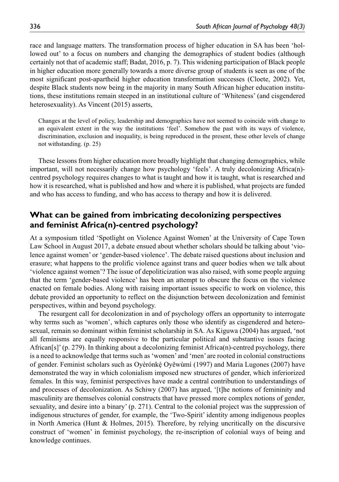race and language matters. The transformation process of higher education in SA has been 'hollowed out' to a focus on numbers and changing the demographics of student bodies (although certainly not that of academic staff; Badat, 2016, p. 7). This widening participation of Black people in higher education more generally towards a more diverse group of students is seen as one of the most significant post-apartheid higher education transformation successes (Cloete, 2002). Yet, despite Black students now being in the majority in many South African higher education institutions, these institutions remain steeped in an institutional culture of 'Whiteness' (and cisgendered heterosexuality). As Vincent (2015) asserts,

Changes at the level of policy, leadership and demographics have not seemed to coincide with change to an equivalent extent in the way the institutions 'feel'. Somehow the past with its ways of violence, discrimination, exclusion and inequality, is being reproduced in the present, these other levels of change not withstanding. (p. 25)

These lessons from higher education more broadly highlight that changing demographics, while important, will not necessarily change how psychology 'feels'. A truly decolonizing Africa(n) centred psychology requires changes to what is taught and how it is taught, what is researched and how it is researched, what is published and how and where it is published, what projects are funded and who has access to funding, and who has access to therapy and how it is delivered.

# **What can be gained from imbricating decolonizing perspectives and feminist Africa(n)-centred psychology?**

At a symposium titled 'Spotlight on Violence Against Women' at the University of Cape Town Law School in August 2017, a debate ensued about whether scholars should be talking about 'violence against women' or 'gender-based violence'. The debate raised questions about inclusion and erasure; what happens to the prolific violence against trans and queer bodies when we talk about 'violence against women'? The issue of depoliticization was also raised, with some people arguing that the term 'gender-based violence' has been an attempt to obscure the focus on the violence enacted on female bodies. Along with raising important issues specific to work on violence, this debate provided an opportunity to reflect on the disjunction between decolonization and feminist perspectives, within and beyond psychology.

The resurgent call for decolonization in and of psychology offers an opportunity to interrogate why terms such as 'women', which captures only those who identify as cisgendered and heterosexual, remain so dominant within feminist scholarship in SA. As Kiguwa (2004) has argued, 'not all feminisms are equally responsive to the particular political and substantive issues facing African[s]' (p. 279). In thinking about a decolonizing feminist Africa(n)-centred psychology, there is a need to acknowledge that terms such as 'women' and 'men' are rooted in colonial constructions of gender. Feminist scholars such as Oyèrónkẹ́ Oyěwùmí (1997) and Maria Lugones (2007) have demonstrated the way in which colonialism imposed new structures of gender, which inferiorized females. In this way, feminist perspectives have made a central contribution to understandings of and processes of decolonization. As Schiwy (2007) has argued, '[t]he notions of femininity and masculinity are themselves colonial constructs that have pressed more complex notions of gender, sexuality, and desire into a binary' (p. 271). Central to the colonial project was the suppression of indigenous structures of gender, for example, the 'Two-Spirit' identity among indigenous peoples in North America (Hunt & Holmes, 2015). Therefore, by relying uncritically on the discursive construct of 'women' in feminist psychology, the re-inscription of colonial ways of being and knowledge continues.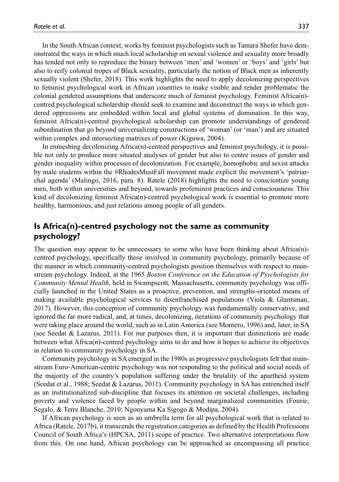In the South African context, works by feminist psychologists such as Tamara Shefer have demonstrated the ways in which much local scholarship on sexual violence and sexuality more broadly has tended not only to reproduce the binary between 'men' and 'women' or 'boys' and 'girls' but also to reify colonial tropes of Black sexuality, particularly the notion of Black men as inherently sexually violent (Shefer, 2018). This work highlights the need to apply decolonizing perspectives to feminist psychological work in African countries to make visible and render problematic the colonial gendered assumptions that underscore much of feminist psychology. Feminist Africa(n) centred psychological scholarship should seek to examine and deconstruct the ways in which gendered oppressions are embedded within local and global systems of domination. In this way, feminist Africa(n)-centred psychological scholarship can promote understandings of gendered subordination that go beyond universalizing constructions of 'woman' (or 'man') and are situated within complex and intersecting matrixes of power (Kiguwa, 2004).

In enmeshing decolonizing Africa(n)-centred perspectives and feminist psychology, it is possible not only to produce more situated analyses of gender but also to centre issues of gender and gender inequality within processes of decolonization. For example, homophobic and sexist attacks by male students within the #RhodesMustFall movement made explicit the movement's 'patriarchal agenda' (Malingo, 2016, para. 8). Ratele (2018) highlights the need to conscientize young men, both within universities and beyond, towards profeminist practices and consciousness. This kind of decolonizing feminist Africa(n)-centred psychological work is essential to promote more healthy, harmonious, and just relations among people of all genders.

## **Is Africa(n)-centred psychology not the same as community psychology?**

The question may appear to be unnecessary to some who have been thinking about  $A$ frica $(n)$ centred psychology, specifically those involved in community psychology, primarily because of the manner in which community-centred psychologists position themselves with respect to mainstream psychology. Indeed, at the 1965 *Boston Conference on the Education of Psychologists for Community Mental Health*, held in Swampscott, Massachusetts, community psychology was officially launched in the United States as a proactive, prevention, and strengths-oriented means of making available psychological services to disenfranchised populations (Viola & Glantsman, 2017). However, this conception of community psychology was fundamentally conservative, and ignored the far more radical, and, at times, decolonizing, iterations of community psychology that were taking place around the world, such as in Latin America (see Montero, 1996) and, later, in SA (see Seedat & Lazarus, 2011). For our purposes then, it is important that distinctions are made between what Africa(n)-centred psychology aims to do and how it hopes to achieve its objectives in relation to community psychology in SA.

Community psychology in SA emerged in the 1980s as progressive psychologists felt that mainstream Euro-American-centric psychology was not responding to the political and social needs of the majority of the country's population suffering under the brutality of the apartheid system (Seedat et al., 1988; Seedat & Lazarus, 2011). Community psychology in SA has entrenched itself as an institutionalized sub-discipline that focuses its attention on societal challenges, including poverty and violence faced by people within and beyond marginalized communities (Fourie, Segalo, & Terre Blanche, 2010; Ngonyama Ka Sigogo & Modipa, 2004).

If African psychology is seen as an umbrella term for all psychological work that is related to Africa (Ratele, 2017b), it transcends the registration categories as defined by the Health Professions Council of South Africa's (HPCSA, 2011) scope of practice. Two alternative interpretations flow from this. On one hand, African psychology can be approached as encompassing all practice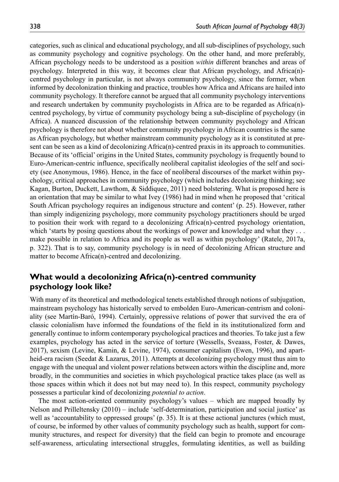categories, such as clinical and educational psychology, and all sub-disciplines of psychology, such as community psychology and cognitive psychology. On the other hand, and more preferably, African psychology needs to be understood as a position *within* different branches and areas of psychology. Interpreted in this way, it becomes clear that African psychology, and Africa(n) centred psychology in particular, is not always community psychology, since the former, when informed by decolonization thinking and practice, troubles how Africa and Africans are hailed into community psychology. It therefore cannot be argued that all community psychology interventions and research undertaken by community psychologists in Africa are to be regarded as Africa(n) centred psychology, by virtue of community psychology being a sub-discipline of psychology (in Africa). A nuanced discussion of the relationship between community psychology and African psychology is therefore not about whether community psychology in African countries is the same as African psychology, but whether mainstream community psychology as it is constituted at present can be seen as a kind of decolonizing Africa(n)-centred praxis in its approach to communities. Because of its 'official' origins in the United States, community psychology is frequently bound to Euro-American-centric influence, specifically neoliberal capitalist ideologies of the self and society (see Anonymous, 1986). Hence, in the face of neoliberal discourses of the market within psychology, critical approaches in community psychology (which includes decolonizing thinking; see Kagan, Burton, Duckett, Lawthom, & Siddiquee, 2011) need bolstering. What is proposed here is an orientation that may be similar to what Ivey (1986) had in mind when he proposed that 'critical South African psychology requires an indigenous structure and content' (p. 25). However, rather than simply indigenizing psychology, more community psychology practitioners should be urged to position their work with regard to a decolonizing Africa(n)-centred psychology orientation, which 'starts by posing questions about the workings of power and knowledge and what they ... make possible in relation to Africa and its people as well as within psychology' (Ratele, 2017a, p. 322). That is to say, community psychology is in need of decolonizing African structure and matter to become Africa(n)-centred and decolonizing.

# **What would a decolonizing Africa(n)-centred community psychology look like?**

With many of its theoretical and methodological tenets established through notions of subjugation, mainstream psychology has historically served to embolden Euro-American-centrism and coloniality (see Martín-Baró, 1994). Certainly, oppressive relations of power that survived the era of classic colonialism have informed the foundations of the field in its institutionalized form and generally continue to inform contemporary psychological practices and theories. To take just a few examples, psychology has acted in the service of torture (Wessells, Sveaass, Foster, & Dawes, 2017), sexism (Levine, Kamin, & Levine, 1974), consumer capitalism (Ewen, 1996), and apartheid-era racism (Seedat & Lazarus, 2011). Attempts at decolonizing psychology must thus aim to engage with the unequal and violent power relations between actors within the discipline and, more broadly, in the communities and societies in which psychological practice takes place (as well as those spaces within which it does not but may need to). In this respect, community psychology possesses a particular kind of decolonizing *potential to action*.

The most action-oriented community psychology's values – which are mapped broadly by Nelson and Prilleltensky (2010) – include 'self-determination, participation and social justice' as well as 'accountability to oppressed groups' (p. 35). It is at these actional junctures (which must, of course, be informed by other values of community psychology such as health, support for community structures, and respect for diversity) that the field can begin to promote and encourage self-awareness, articulating intersectional struggles, formulating identities, as well as building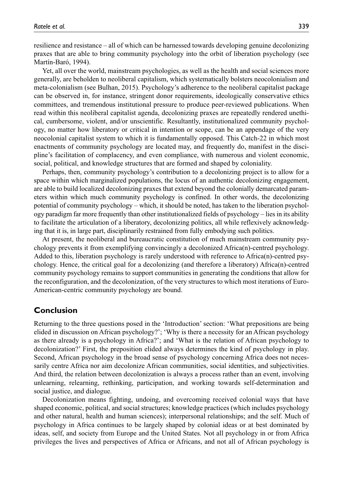resilience and resistance – all of which can be harnessed towards developing genuine decolonizing praxes that are able to bring community psychology into the orbit of liberation psychology (see Martín-Baró, 1994).

Yet, all over the world, mainstream psychologies, as well as the health and social sciences more generally, are beholden to neoliberal capitalism, which systematically bolsters neocolonialism and meta-colonialism (see Bulhan, 2015). Psychology's adherence to the neoliberal capitalist package can be observed in, for instance, stringent donor requirements, ideologically conservative ethics committees, and tremendous institutional pressure to produce peer-reviewed publications. When read within this neoliberal capitalist agenda, decolonizing praxes are repeatedly rendered unethical, cumbersome, violent, and/or unscientific. Resultantly, institutionalized community psychology, no matter how liberatory or critical in intention or scope, can be an appendage of the very neocolonial capitalist system to which it is fundamentally opposed. This Catch-22 in which most enactments of community psychology are located may, and frequently do, manifest in the discipline's facilitation of complacency, and even compliance, with numerous and violent economic, social, political, and knowledge structures that are formed and shaped by coloniality.

Perhaps, then, community psychology's contribution to a decolonizing project is to allow for a space within which marginalized populations, the locus of an authentic decolonizing engagement, are able to build localized decolonizing praxes that extend beyond the colonially demarcated parameters within which much community psychology is confined. In other words, the decolonizing potential of community psychology – which, it should be noted, has taken to the liberation psychology paradigm far more frequently than other institutionalized fields of psychology – lies in its ability to facilitate the articulation of a liberatory, decolonizing politics, all while reflexively acknowledging that it is, in large part, disciplinarily restrained from fully embodying such politics.

At present, the neoliberal and bureaucratic constitution of much mainstream community psychology prevents it from exemplifying convincingly a decolonized Africa(n)-centred psychology. Added to this, liberation psychology is rarely understood with reference to Africa(n)-centred psychology. Hence, the critical goal for a decolonizing (and therefore a liberatory) Africa(n)-centred community psychology remains to support communities in generating the conditions that allow for the reconfiguration, and the decolonization, of the very structures to which most iterations of Euro-American-centric community psychology are bound.

## **Conclusion**

Returning to the three questions posed in the 'Introduction' section: 'What prepositions are being elided in discussion on African psychology?'; 'Why is there a necessity for an African psychology as there already is a psychology in Africa?'; and 'What is the relation of African psychology to decolonization?' First, the preposition elided always determines the kind of psychology in play. Second, African psychology in the broad sense of psychology concerning Africa does not necessarily centre Africa nor aim decolonize African communities, social identities, and subjectivities. And third, the relation between decolonization is always a process rather than an event, involving unlearning, relearning, rethinking, participation, and working towards self-determination and social justice, and dialogue.

Decolonization means fighting, undoing, and overcoming received colonial ways that have shaped economic, political, and social structures; knowledge practices (which includes psychology and other natural, health and human sciences); interpersonal relationships; and the self. Much of psychology in Africa continues to be largely shaped by colonial ideas or at best dominated by ideas, self, and society from Europe and the United States. Not all psychology in or from Africa privileges the lives and perspectives of Africa or Africans, and not all of African psychology is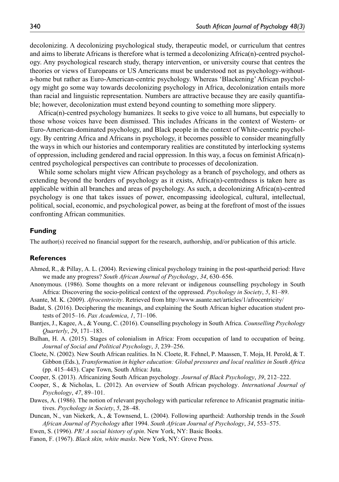decolonizing. A decolonizing psychological study, therapeutic model, or curriculum that centres and aims to liberate Africans is therefore what is termed a decolonizing Africa(n)-centred psychology. Any psychological research study, therapy intervention, or university course that centres the theories or views of Europeans or US Americans must be understood not as psychology-withouta-home but rather as Euro-American-centric psychology. Whereas 'Blackening' African psychology might go some way towards decolonizing psychology in Africa, decolonization entails more than racial and linguistic representation. Numbers are attractive because they are easily quantifiable; however, decolonization must extend beyond counting to something more slippery.

Africa(n)-centred psychology humanizes. It seeks to give voice to all humans, but especially to those whose voices have been dismissed. This includes Africans in the context of Western- or Euro-American-dominated psychology, and Black people in the context of White-centric psychology. By centring Africa and Africans in psychology, it becomes possible to consider meaningfully the ways in which our histories and contemporary realities are constituted by interlocking systems of oppression, including gendered and racial oppression. In this way, a focus on feminist Africa(n) centred psychological perspectives can contribute to processes of decolonization.

While some scholars might view African psychology as a branch of psychology, and others as extending beyond the borders of psychology as it exists, Africa(n)-centredness is taken here as applicable within all branches and areas of psychology. As such, a decolonizing Africa(n)-centred psychology is one that takes issues of power, encompassing ideological, cultural, intellectual, political, social, economic, and psychological power, as being at the forefront of most of the issues confronting African communities.

#### **Funding**

The author(s) received no financial support for the research, authorship, and/or publication of this article.

#### **References**

- Ahmed, R., & Pillay, A. L. (2004). Reviewing clinical psychology training in the post-apartheid period: Have we made any progress? *South African Journal of Psychology*, *34*, 630–656.
- Anonymous. (1986). Some thoughts on a more relevant or indigenous counselling psychology in South Africa: Discovering the socio-political context of the oppressed. *Psychology in Society*, *5*, 81–89.
- Asante, M. K. (2009). *Afrocentricity*. Retrieved from<http://www.asante.net/articles/1/afrocentricity/>
- Badat, S. (2016). Deciphering the meanings, and explaining the South African higher education student protests of 2015–16. *Pax Academica*, *1*, 71–106.
- Bantjes, J., Kagee, A., & Young, C. (2016). Counselling psychology in South Africa. *Counselling Psychology Quarterly*, *29*, 171–183.
- Bulhan, H. A. (2015). Stages of colonialism in Africa: From occupation of land to occupation of being. *Journal of Social and Political Psychology*, *3*, 239–256.
- Cloete, N. (2002). New South African realities. In N. Cloete, R. Fehnel, P. Maassen, T. Moja, H. Perold, & T. Gibbon (Eds.), *Transformation in higher education: Global pressures and local realities in South Africa* (pp. 415–443). Cape Town, South Africa: Juta.
- Cooper, S. (2013). Africanizing South African psychology. *Journal of Black Psychology*, *39*, 212–222.
- Cooper, S., & Nicholas, L. (2012). An overview of South African psychology. *International Journal of Psychology*, *47*, 89–101.
- Dawes, A. (1986). The notion of relevant psychology with particular reference to Africanist pragmatic initiatives. *Psychology in Society*, *5*, 28–48.
- Duncan, N., van Niekerk, A., & Townsend, L. (2004). Following apartheid: Authorship trends in the *South African Journal of Psychology* after 1994. *South African Journal of Psychology*, *34*, 553–575.
- Ewen, S. (1996). *PR! A social history of spin*. New York, NY: Basic Books.
- Fanon, F. (1967). *Black skin, white masks*. New York, NY: Grove Press.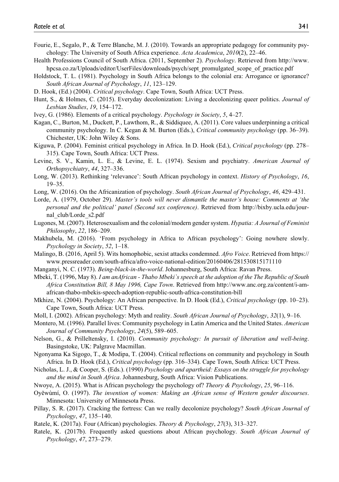- Fourie, E., Segalo, P., & Terre Blanche, M. J. (2010). Towards an appropriate pedagogy for community psychology: The University of South Africa experience. *Acta Academica*, *2010*(2), 22–46.
- Health Professions Council of South Africa. (2011, September 2). *Psychology*. Retrieved from [http://www.](http://www.hpcsa.co.za/Uploads/editor/UserFiles/downloads/psych/sept_promulgated_scope_of_practice.pdf) [hpcsa.co.za/Uploads/editor/UserFiles/downloads/psych/sept\\_promulgated\\_scope\\_of\\_practice.pdf](http://www.hpcsa.co.za/Uploads/editor/UserFiles/downloads/psych/sept_promulgated_scope_of_practice.pdf)
- Holdstock, T. L. (1981). Psychology in South Africa belongs to the colonial era: Arrogance or ignorance? *South African Journal of Psychology*, *11*, 123–129.
- D. Hook, (Ed.) (2004). *Critical psychology*. Cape Town, South Africa: UCT Press.
- Hunt, S., & Holmes, C. (2015). Everyday decolonization: Living a decolonizing queer politics. *Journal of Lesbian Studies*, *19*, 154–172.
- Ivey, G. (1986). Elements of a critical psychology. *Psychology in Society*, *5*, 4–27.
- Kagan, C., Burton, M., Duckett, P., Lawthom, R., & Siddiquee, A. (2011). Core values underpinning a critical community psychology. In C. Kegan & M. Burton (Eds.), *Critical community psychology* (pp. 36–39). Chichester, UK: John Wiley & Sons.
- Kiguwa, P. (2004). Feminist critical psychology in Africa. In D. Hook (Ed.), *Critical psychology* (pp. 278– 315). Cape Town, South Africa: UCT Press.
- Levine, S. V., Kamin, L. E., & Levine, E. L. (1974). Sexism and psychiatry. *American Journal of Orthopsychiatry*, *44*, 327–336.
- Long, W. (2013). Rethinking 'relevance': South African psychology in context. *History of Psychology*, *16*, 19–35.
- Long, W. (2016). On the Africanization of psychology. *South African Journal of Psychology*, *46*, 429–431.
- Lorde, A. (1979, October 29). *Master's tools will never dismantle the master's house: Comments at 'the personal and the political' panel (Second sex conference)*. Retrieved from [http://bixby.ucla.edu/jour](http://bixby.ucla.edu/journal_club/Lorde_s2.pdf)[nal\\_club/Lorde\\_s2.pdf](http://bixby.ucla.edu/journal_club/Lorde_s2.pdf)
- Lugones, M. (2007). Heterosexualism and the colonial/modern gender system. *Hypatia: A Journal of Feminist Philosophy*, *22*, 186–209.
- Makhubela, M. (2016). 'From psychology in Africa to African psychology': Going nowhere slowly. *Psychology in Society*, *52*, 1–18.
- Malingo, B. (2016, April 5). Wits homophobic, sexist attacks condemned. *Afro Voice*. Retrieved from [https://](https://www.pressreader.com/south-africa/afro-voice-national-edition/20160406/281530815171110) [www.pressreader.com/south-africa/afro-voice-national-edition/20160406/281530815171110](https://www.pressreader.com/south-africa/afro-voice-national-edition/20160406/281530815171110)
- Manganyi, N. C. (1973). *Being-black-in-the-world*. Johannesburg, South Africa: Ravan Press.
- Mbeki, T. (1996, May 8). *I am anAfrican Thabo Mbeki`s speech at the adoption of the The Republic of South Africa Constitution Bill, 8 May 1996, Cape Town*. Retrieved from [http://www.anc.org.za/content/i-am](http://www.anc.org.za/content/i-am-african-thabo-mbekis-speech-adoption-republic-south-africa-constitution-bill)[african-thabo-mbekis-speech-adoption-republic-south-africa-constitution-bill](http://www.anc.org.za/content/i-am-african-thabo-mbekis-speech-adoption-republic-south-africa-constitution-bill)
- Mkhize, N. (2004). Psychology: An African perspective. In D. Hook (Ed.), *Critical psychology* (pp. 10–23). Cape Town, South Africa: UCT Press.
- Moll, I. (2002). African psychology: Myth and reality. *South African Journal of Psychology*, *32*(1), 9–16.
- Montero, M. (1996). Parallel lives: Community psychology in Latin America and the United States. *American Journal of Community Psychology*, *24*(5), 589–605.
- Nelson, G., & Prilleltensky, I. (2010). *Community psychology: In pursuit of liberation and well-being*. Basingstoke, UK: Palgrave Macmillan.
- Ngonyama Ka Sigogo, T., & Modipa, T. (2004). Critical reflections on community and psychology in South Africa. In D. Hook (Ed.), *Critical psychology* (pp. 316–334). Cape Town, South Africa: UCT Press.
- Nicholas, L. J., & Cooper, S. (Eds.). (1990) *Psychology and apartheid: Essays on the struggle for psychology and the mind in South Africa*. Johannesburg, South Africa: Vision Publications.
- Nwoye, A. (2015). What is African psychology the psychology of? *Theory & Psychology*, *25*, 96–116.
- Oyěwùmí, O. (1997). *The invention of women: Making an African sense of Western gender discourses*. Minnesota: University of Minnesota Press.
- Pillay, S. R. (2017). Cracking the fortress: Can we really decolonize psychology? *South African Journal of Psychology*, *47*, 135–140.
- Ratele, K. (2017a). Four (African) psychologies. *Theory & Psychology*, *27*(3), 313–327.
- Ratele, K. (2017b). Frequently asked questions about African psychology. *South African Journal of Psychology*, *47*, 273–279.